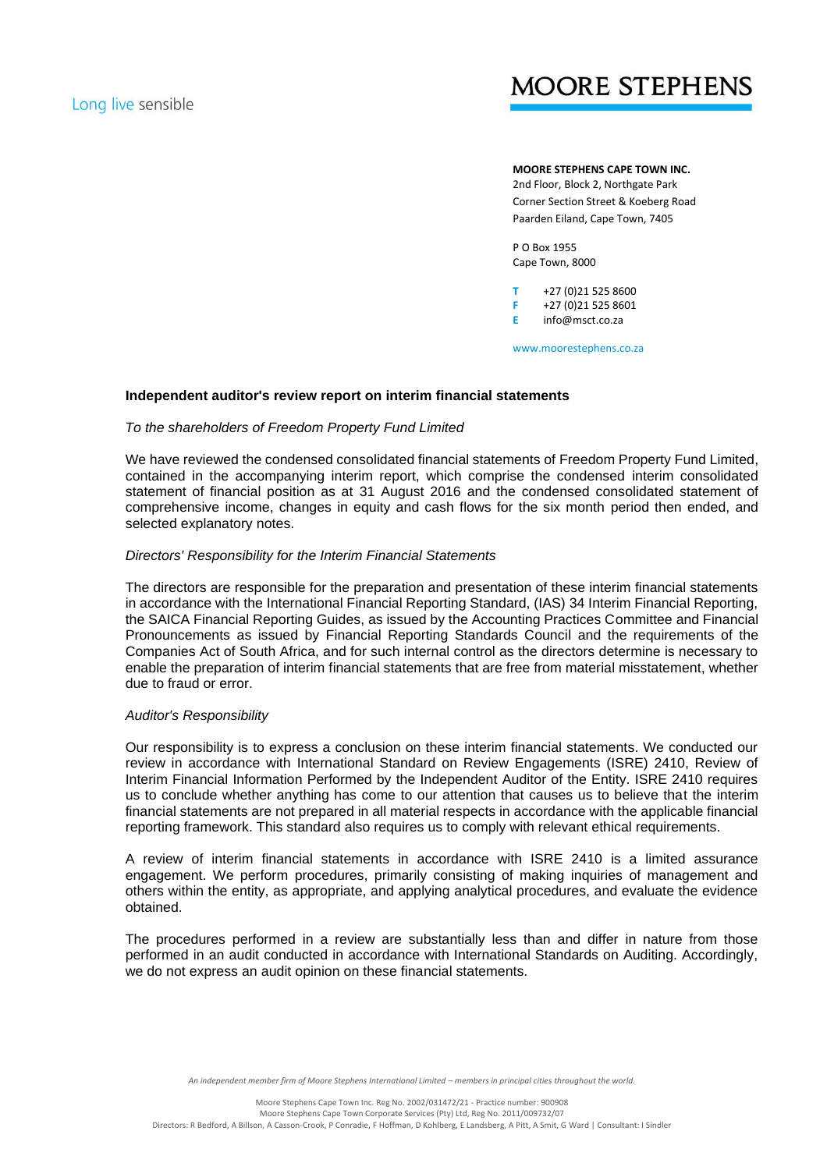# **MOORE STEPHENS**

# **MOORE STEPHENS CAPE TOWN INC.**

2nd Floor, Block 2, Northgate Park Corner Section Street & Koeberg Road Paarden Eiland, Cape Town, 7405

P O Box 1955 Cape Town, 8000

**T** +27 (0)21 525 8600 **F** +27 (0)21 525 8601 **E** info@msct.co.za

www.moorestephens.co.za

## **Independent auditor's review report on interim financial statements**

## *To the shareholders of Freedom Property Fund Limited*

We have reviewed the condensed consolidated financial statements of Freedom Property Fund Limited, contained in the accompanying interim report, which comprise the condensed interim consolidated statement of financial position as at 31 August 2016 and the condensed consolidated statement of comprehensive income, changes in equity and cash flows for the six month period then ended, and selected explanatory notes.

## *Directors' Responsibility for the Interim Financial Statements*

The directors are responsible for the preparation and presentation of these interim financial statements in accordance with the International Financial Reporting Standard, (IAS) 34 Interim Financial Reporting, the SAICA Financial Reporting Guides, as issued by the Accounting Practices Committee and Financial Pronouncements as issued by Financial Reporting Standards Council and the requirements of the Companies Act of South Africa, and for such internal control as the directors determine is necessary to enable the preparation of interim financial statements that are free from material misstatement, whether due to fraud or error.

## *Auditor's Responsibility*

Our responsibility is to express a conclusion on these interim financial statements. We conducted our review in accordance with International Standard on Review Engagements (ISRE) 2410, Review of Interim Financial Information Performed by the Independent Auditor of the Entity. ISRE 2410 requires us to conclude whether anything has come to our attention that causes us to believe that the interim financial statements are not prepared in all material respects in accordance with the applicable financial reporting framework. This standard also requires us to comply with relevant ethical requirements.

A review of interim financial statements in accordance with ISRE 2410 is a limited assurance engagement. We perform procedures, primarily consisting of making inquiries of management and others within the entity, as appropriate, and applying analytical procedures, and evaluate the evidence obtained.

The procedures performed in a review are substantially less than and differ in nature from those performed in an audit conducted in accordance with International Standards on Auditing. Accordingly, we do not express an audit opinion on these financial statements.

An independent member firm of Moore Stephens International Limited - members in principal cities throughout the world.